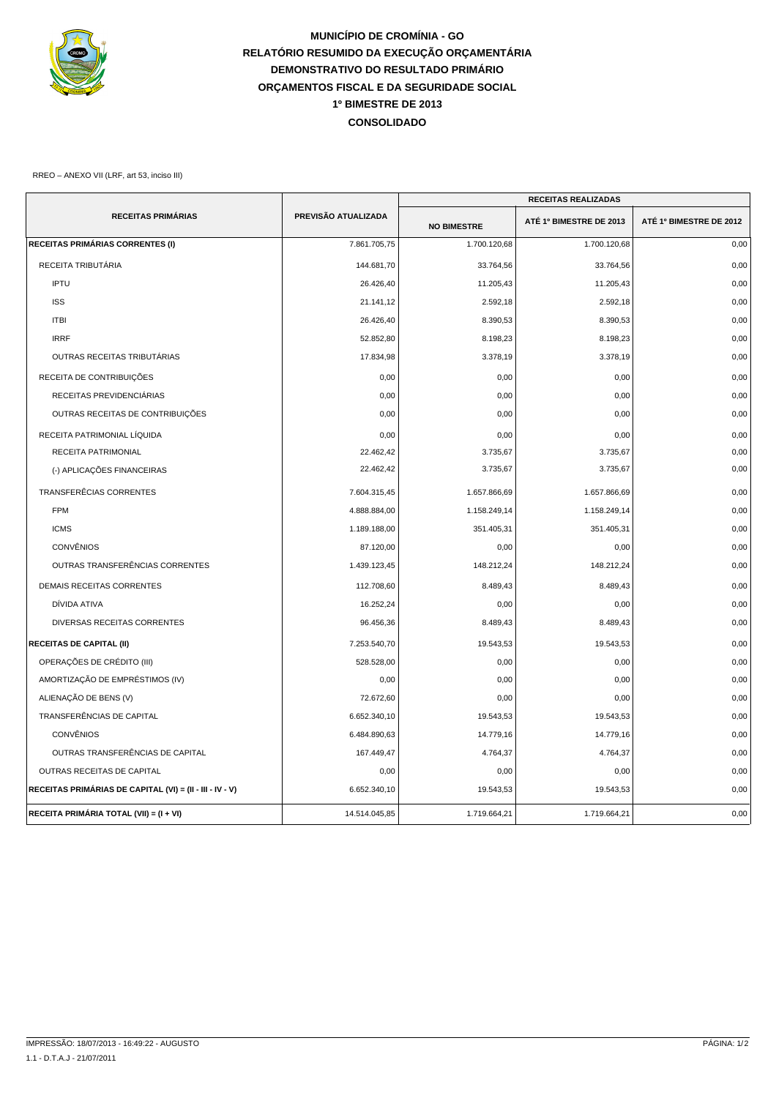

## **MUNICÍPIO DE CROMÍNIA - GO RELATÓRIO RESUMIDO DA EXECUÇÃO ORÇAMENTÁRIA DEMONSTRATIVO DO RESULTADO PRIMÁRIO ORÇAMENTOS FISCAL E DA SEGURIDADE SOCIAL CONSOLIDADO 1º BIMESTRE DE 2013**

## RREO – ANEXO VII (LRF, art 53, inciso III)

|                                                          |                     | <b>RECEITAS REALIZADAS</b> |                         |                         |
|----------------------------------------------------------|---------------------|----------------------------|-------------------------|-------------------------|
| <b>RECEITAS PRIMÁRIAS</b>                                | PREVISÃO ATUALIZADA | <b>NO BIMESTRE</b>         | ATÉ 1º BIMESTRE DE 2013 | ATÉ 1º BIMESTRE DE 2012 |
| RECEITAS PRIMÁRIAS CORRENTES (I)                         | 7.861.705,75        | 1.700.120,68               | 1.700.120,68            | 0,00                    |
| RECEITA TRIBUTÁRIA                                       | 144.681,70          | 33.764,56                  | 33.764,56               | 0,00                    |
| <b>IPTU</b>                                              | 26.426,40           | 11.205,43                  | 11.205,43               | 0,00                    |
| <b>ISS</b>                                               | 21.141,12           | 2.592,18                   | 2.592,18                | 0,00                    |
| <b>ITBI</b>                                              | 26.426,40           | 8.390,53                   | 8.390,53                | 0,00                    |
| <b>IRRF</b>                                              | 52.852,80           | 8.198,23                   | 8.198,23                | 0,00                    |
| OUTRAS RECEITAS TRIBUTÁRIAS                              | 17.834,98           | 3.378,19                   | 3.378,19                | 0,00                    |
| RECEITA DE CONTRIBUIÇÕES                                 | 0,00                | 0,00                       | 0,00                    | 0,00                    |
| RECEITAS PREVIDENCIÁRIAS                                 | 0,00                | 0,00                       | 0,00                    | 0,00                    |
| OUTRAS RECEITAS DE CONTRIBUIÇÕES                         | 0,00                | 0,00                       | 0,00                    | 0,00                    |
| RECEITA PATRIMONIAL LÍQUIDA                              | 0,00                | 0,00                       | 0,00                    | 0,00                    |
| <b>RECEITA PATRIMONIAL</b>                               | 22.462,42           | 3.735,67                   | 3.735,67                | 0,00                    |
| (-) APLICAÇÕES FINANCEIRAS                               | 22.462,42           | 3.735,67                   | 3.735,67                | 0,00                    |
| TRANSFERÊCIAS CORRENTES                                  | 7.604.315,45        | 1.657.866,69               | 1.657.866,69            | 0,00                    |
| <b>FPM</b>                                               | 4.888.884,00        | 1.158.249,14               | 1.158.249,14            | 0,00                    |
| <b>ICMS</b>                                              | 1.189.188,00        | 351.405,31                 | 351.405,31              | 0,00                    |
| <b>CONVÊNIOS</b>                                         | 87.120,00           | 0,00                       | 0,00                    | 0,00                    |
| OUTRAS TRANSFERÊNCIAS CORRENTES                          | 1.439.123,45        | 148.212,24                 | 148.212,24              | 0,00                    |
| <b>DEMAIS RECEITAS CORRENTES</b>                         | 112.708,60          | 8.489,43                   | 8.489,43                | 0,00                    |
| DÍVIDA ATIVA                                             | 16.252.24           | 0,00                       | 0,00                    | 0,00                    |
| DIVERSAS RECEITAS CORRENTES                              | 96.456,36           | 8.489,43                   | 8.489,43                | 0,00                    |
| <b>RECEITAS DE CAPITAL (II)</b>                          | 7.253.540,70        | 19.543,53                  | 19.543,53               | 0,00                    |
| OPERAÇÕES DE CRÉDITO (III)                               | 528.528,00          | 0,00                       | 0,00                    | 0,00                    |
| AMORTIZAÇÃO DE EMPRÉSTIMOS (IV)                          | 0,00                | 0,00                       | 0,00                    | 0,00                    |
| ALIENAÇÃO DE BENS (V)                                    | 72.672,60           | 0,00                       | 0,00                    | 0,00                    |
| TRANSFERÊNCIAS DE CAPITAL                                | 6.652.340,10        | 19.543,53                  | 19.543,53               | 0,00                    |
| <b>CONVÊNIOS</b>                                         | 6.484.890,63        | 14.779,16                  | 14.779,16               | 0,00                    |
| OUTRAS TRANSFERÊNCIAS DE CAPITAL                         | 167.449,47          | 4.764,37                   | 4.764,37                | 0,00                    |
| OUTRAS RECEITAS DE CAPITAL                               | 0,00                | 0,00                       | 0,00                    | 0,00                    |
| RECEITAS PRIMÁRIAS DE CAPITAL (VI) = (II - III - IV - V) | 6.652.340,10        | 19.543,53                  | 19.543,53               | 0,00                    |
| RECEITA PRIMÁRIA TOTAL (VII) = (I + VI)                  | 14.514.045,85       | 1.719.664,21               | 1.719.664,21            | 0,00                    |